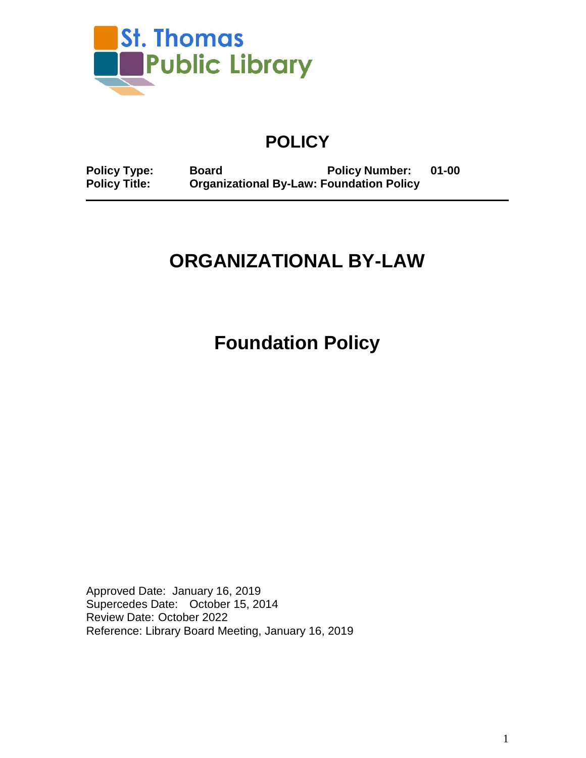

# **POLICY**

**Policy Type: Board Policy Number: 01-00 Policy Policy Title: Policy Policy** 

# **ORGANIZATIONAL BY-LAW**

**Foundation Policy**

Approved Date: January 16, 2019 Supercedes Date: October 15, 2014 Review Date: October 2022 Reference: Library Board Meeting, January 16, 2019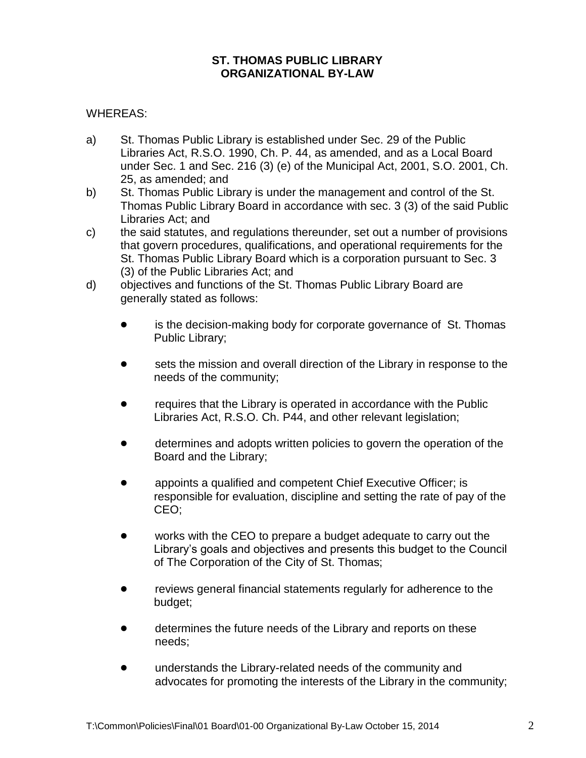#### **ST. THOMAS PUBLIC LIBRARY ORGANIZATIONAL BY-LAW**

#### WHEREAS:

- a) St. Thomas Public Library is established under Sec. 29 of the Public Libraries Act, R.S.O. 1990, Ch. P. 44, as amended, and as a Local Board under Sec. 1 and Sec. 216 (3) (e) of the Municipal Act, 2001, S.O. 2001, Ch. 25, as amended; and
- b) St. Thomas Public Library is under the management and control of the St. Thomas Public Library Board in accordance with sec. 3 (3) of the said Public Libraries Act; and
- c) the said statutes, and regulations thereunder, set out a number of provisions that govern procedures, qualifications, and operational requirements for the St. Thomas Public Library Board which is a corporation pursuant to Sec. 3 (3) of the Public Libraries Act; and
- d) objectives and functions of the St. Thomas Public Library Board are generally stated as follows:
	- is the decision-making body for corporate governance of St. Thomas Public Library;
	- sets the mission and overall direction of the Library in response to the needs of the community;
	- ! requires that the Library is operated in accordance with the Public Libraries Act, R.S.O. Ch. P44, and other relevant legislation;
	- determines and adopts written policies to govern the operation of the Board and the Library;
	- appoints a qualified and competent Chief Executive Officer; is responsible for evaluation, discipline and setting the rate of pay of the CEO;
	- works with the CEO to prepare a budget adequate to carry out the Library's goals and objectives and presents this budget to the Council of The Corporation of the City of St. Thomas;
	- reviews general financial statements regularly for adherence to the budget;
	- determines the future needs of the Library and reports on these needs;
	- **•** understands the Library-related needs of the community and advocates for promoting the interests of the Library in the community;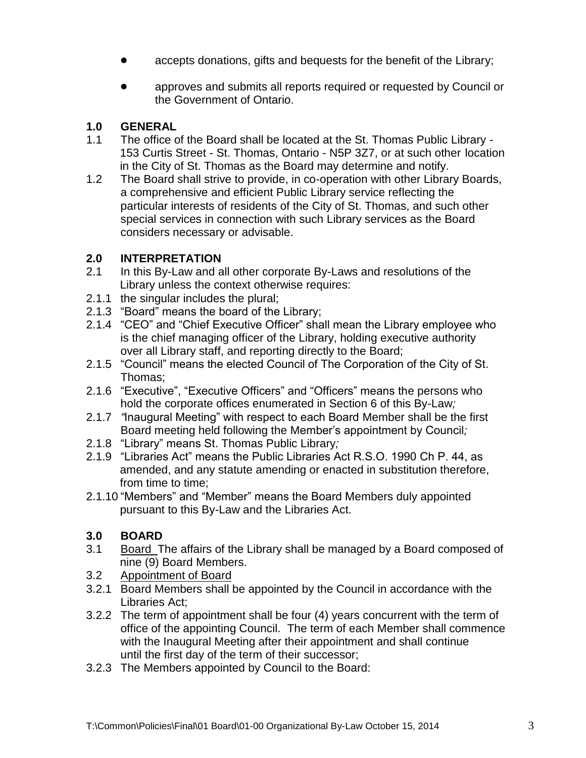- accepts donations, gifts and bequests for the benefit of the Library;
- approves and submits all reports required or requested by Council or the Government of Ontario.

## **1.0 GENERAL**

- 1.1 The office of the Board shall be located at the St. Thomas Public Library 153 Curtis Street - St. Thomas, Ontario - N5P 3Z7, or at such other location in the City of St. Thomas as the Board may determine and notify.
- 1.2 The Board shall strive to provide, in co-operation with other Library Boards, a comprehensive and efficient Public Library service reflecting the particular interests of residents of the City of St. Thomas, and such other special services in connection with such Library services as the Board considers necessary or advisable.

## **2.0 INTERPRETATION**

- 2.1 In this By-Law and all other corporate By-Laws and resolutions of the Library unless the context otherwise requires:
- 2.1.1 the singular includes the plural;
- 2.1.3 "Board" means the board of the Library;
- 2.1.4 "CEO" and "Chief Executive Officer" shall mean the Library employee who is the chief managing officer of the Library, holding executive authority over all Library staff, and reporting directly to the Board;
- 2.1.5 "Council" means the elected Council of The Corporation of the City of St. Thomas;
- 2.1.6 "Executive", "Executive Officers" and "Officers" means the persons who hold the corporate offices enumerated in Section 6 of this By-Law*;*
- 2.1.7 *"*Inaugural Meeting" with respect to each Board Member shall be the first Board meeting held following the Member's appointment by Council*;*
- 2.1.8 "Library" means St. Thomas Public Library*;*
- 2.1.9 "Libraries Act" means the Public Libraries Act R.S.O. 1990 Ch P. 44, as amended, and any statute amending or enacted in substitution therefore, from time to time;
- 2.1.10 "Members" and "Member" means the Board Members duly appointed pursuant to this By-Law and the Libraries Act.

## **3.0 BOARD**

- 3.1 Board The affairs of the Library shall be managed by a Board composed of nine (9) Board Members.
- 3.2 Appointment of Board
- 3.2.1 Board Members shall be appointed by the Council in accordance with the Libraries Act;
- 3.2.2 The term of appointment shall be four (4) years concurrent with the term of office of the appointing Council. The term of each Member shall commence with the Inaugural Meeting after their appointment and shall continue until the first day of the term of their successor;
- 3.2.3 The Members appointed by Council to the Board: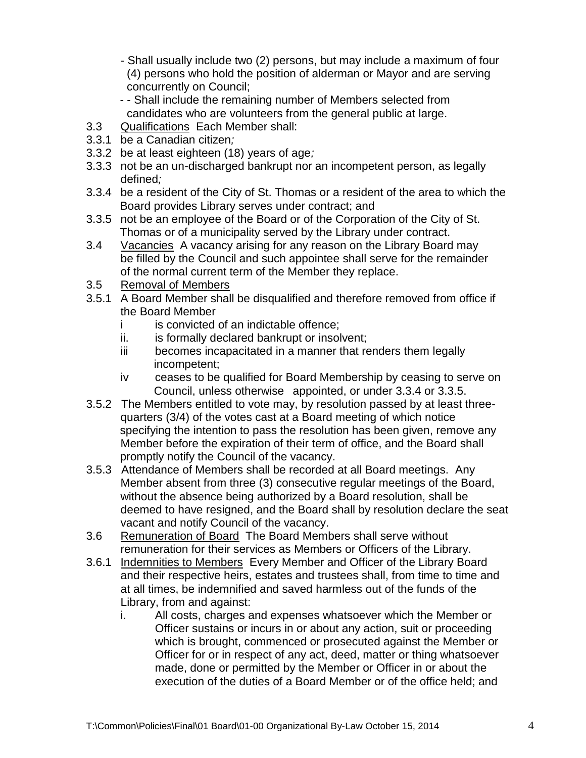- Shall usually include two (2) persons, but may include a maximum of four (4) persons who hold the position of alderman or Mayor and are serving concurrently on Council;

- - Shall include the remaining number of Members selected from candidates who are volunteers from the general public at large.
- 3.3 Qualifications Each Member shall:
- 3.3.1 be a Canadian citizen*;*
- 3.3.2 be at least eighteen (18) years of age*;*
- 3.3.3 not be an un-discharged bankrupt nor an incompetent person, as legally defined*;*
- 3.3.4 be a resident of the City of St. Thomas or a resident of the area to which the Board provides Library serves under contract; and
- 3.3.5 not be an employee of the Board or of the Corporation of the City of St. Thomas or of a municipality served by the Library under contract.
- 3.4 Vacancies A vacancy arising for any reason on the Library Board may be filled by the Council and such appointee shall serve for the remainder of the normal current term of the Member they replace.
- 3.5 Removal of Members
- 3.5.1 A Board Member shall be disqualified and therefore removed from office if the Board Member
	- i is convicted of an indictable offence:
	- ii. is formally declared bankrupt or insolvent;
	- iii becomes incapacitated in a manner that renders them legally incompetent;
	- iv ceases to be qualified for Board Membership by ceasing to serve on Council, unless otherwise appointed, or under 3.3.4 or 3.3.5.
- 3.5.2 The Members entitled to vote may, by resolution passed by at least threequarters (3/4) of the votes cast at a Board meeting of which notice specifying the intention to pass the resolution has been given, remove any Member before the expiration of their term of office, and the Board shall promptly notify the Council of the vacancy.
- 3.5.3 Attendance of Members shall be recorded at all Board meetings. Any Member absent from three (3) consecutive regular meetings of the Board, without the absence being authorized by a Board resolution, shall be deemed to have resigned, and the Board shall by resolution declare the seat vacant and notify Council of the vacancy.
- 3.6 Remuneration of Board The Board Members shall serve without remuneration for their services as Members or Officers of the Library.
- 3.6.1 Indemnities to Members Every Member and Officer of the Library Board and their respective heirs, estates and trustees shall, from time to time and at all times, be indemnified and saved harmless out of the funds of the Library, from and against:
	- i. All costs, charges and expenses whatsoever which the Member or Officer sustains or incurs in or about any action, suit or proceeding which is brought, commenced or prosecuted against the Member or Officer for or in respect of any act, deed, matter or thing whatsoever made, done or permitted by the Member or Officer in or about the execution of the duties of a Board Member or of the office held; and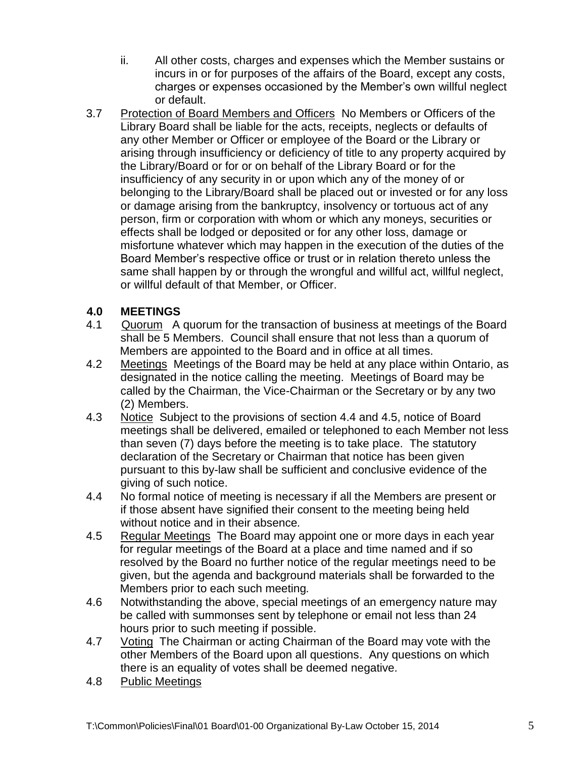- ii. All other costs, charges and expenses which the Member sustains or incurs in or for purposes of the affairs of the Board, except any costs, charges or expenses occasioned by the Member's own willful neglect or default.
- 3.7 Protection of Board Members and Officers No Members or Officers of the Library Board shall be liable for the acts, receipts, neglects or defaults of any other Member or Officer or employee of the Board or the Library or arising through insufficiency or deficiency of title to any property acquired by the Library/Board or for or on behalf of the Library Board or for the insufficiency of any security in or upon which any of the money of or belonging to the Library/Board shall be placed out or invested or for any loss or damage arising from the bankruptcy, insolvency or tortuous act of any person, firm or corporation with whom or which any moneys, securities or effects shall be lodged or deposited or for any other loss, damage or misfortune whatever which may happen in the execution of the duties of the Board Member's respective office or trust or in relation thereto unless the same shall happen by or through the wrongful and willful act, willful neglect, or willful default of that Member, or Officer.

## **4.0 MEETINGS**

- 4.1 Quorum A quorum for the transaction of business at meetings of the Board shall be 5 Members. Council shall ensure that not less than a quorum of Members are appointed to the Board and in office at all times.
- 4.2 Meetings Meetings of the Board may be held at any place within Ontario, as designated in the notice calling the meeting. Meetings of Board may be called by the Chairman, the Vice-Chairman or the Secretary or by any two (2) Members.
- 4.3 Notice Subject to the provisions of section 4.4 and 4.5, notice of Board meetings shall be delivered, emailed or telephoned to each Member not less than seven (7) days before the meeting is to take place. The statutory declaration of the Secretary or Chairman that notice has been given pursuant to this by-law shall be sufficient and conclusive evidence of the giving of such notice.
- 4.4 No formal notice of meeting is necessary if all the Members are present or if those absent have signified their consent to the meeting being held without notice and in their absence*.*
- 4.5 Regular Meetings The Board may appoint one or more days in each year for regular meetings of the Board at a place and time named and if so resolved by the Board no further notice of the regular meetings need to be given, but the agenda and background materials shall be forwarded to the Members prior to each such meeting*.*
- 4.6 Notwithstanding the above, special meetings of an emergency nature may be called with summonses sent by telephone or email not less than 24 hours prior to such meeting if possible.
- 4.7 VotingThe Chairman or acting Chairman of the Board may vote with the other Members of the Board upon all questions. Any questions on which there is an equality of votes shall be deemed negative.
- 4.8 Public Meetings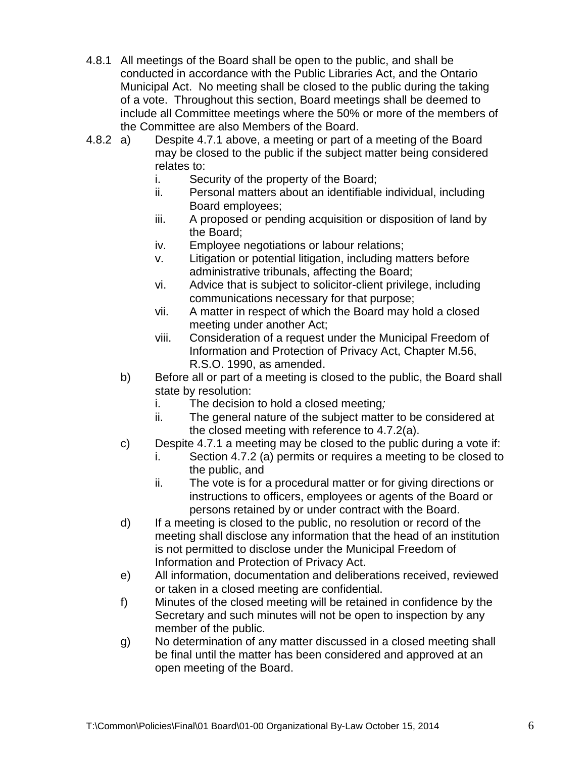- 4.8.1 All meetings of the Board shall be open to the public, and shall be conducted in accordance with the Public Libraries Act, and the Ontario Municipal Act. No meeting shall be closed to the public during the taking of a vote. Throughout this section, Board meetings shall be deemed to include all Committee meetings where the 50% or more of the members of the Committee are also Members of the Board.
- 4.8.2 a) Despite 4.7.1 above, a meeting or part of a meeting of the Board may be closed to the public if the subject matter being considered relates to:
	- i. Security of the property of the Board;
	- ii. Personal matters about an identifiable individual, including Board employees;
	- iii. A proposed or pending acquisition or disposition of land by the Board;
	- iv. Employee negotiations or labour relations;
	- v. Litigation or potential litigation, including matters before administrative tribunals, affecting the Board;
	- vi. Advice that is subject to solicitor-client privilege, including communications necessary for that purpose;
	- vii. A matter in respect of which the Board may hold a closed meeting under another Act;
	- viii. Consideration of a request under the Municipal Freedom of Information and Protection of Privacy Act, Chapter M.56, R.S.O. 1990, as amended.
	- b) Before all or part of a meeting is closed to the public, the Board shall state by resolution:
		- i. The decision to hold a closed meeting*;*
		- ii. The general nature of the subject matter to be considered at the closed meeting with reference to 4.7.2(a).
	- c) Despite 4.7.1 a meeting may be closed to the public during a vote if:
		- i. Section 4.7.2 (a) permits or requires a meeting to be closed to the public, and
		- ii. The vote is for a procedural matter or for giving directions or instructions to officers, employees or agents of the Board or persons retained by or under contract with the Board.
	- d) If a meeting is closed to the public, no resolution or record of the meeting shall disclose any information that the head of an institution is not permitted to disclose under the Municipal Freedom of Information and Protection of Privacy Act.
	- e) All information, documentation and deliberations received, reviewed or taken in a closed meeting are confidential.
	- f) Minutes of the closed meeting will be retained in confidence by the Secretary and such minutes will not be open to inspection by any member of the public.
	- g) No determination of any matter discussed in a closed meeting shall be final until the matter has been considered and approved at an open meeting of the Board.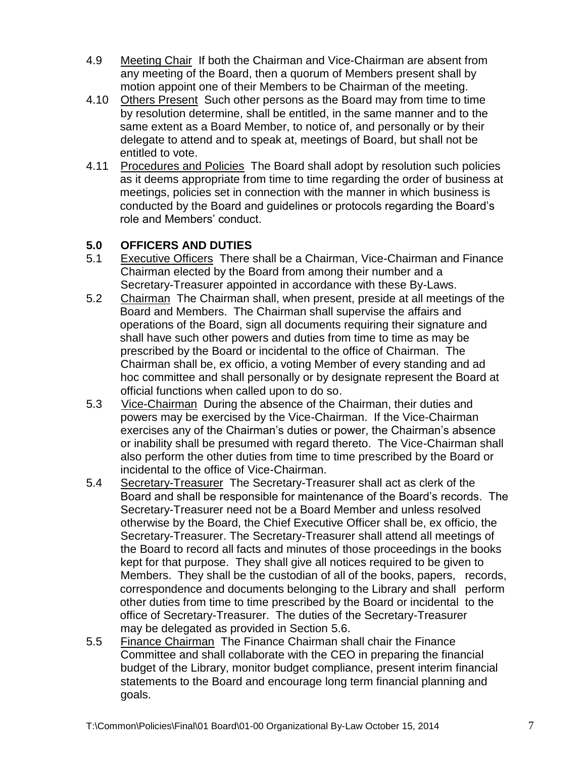- 4.9 Meeting Chair If both the Chairman and Vice-Chairman are absent from any meeting of the Board, then a quorum of Members present shall by motion appoint one of their Members to be Chairman of the meeting.
- 4.10 Others Present Such other persons as the Board may from time to time by resolution determine, shall be entitled, in the same manner and to the same extent as a Board Member, to notice of, and personally or by their delegate to attend and to speak at, meetings of Board, but shall not be entitled to vote.
- 4.11 Procedures and Policies The Board shall adopt by resolution such policies as it deems appropriate from time to time regarding the order of business at meetings, policies set in connection with the manner in which business is conducted by the Board and guidelines or protocols regarding the Board's role and Members' conduct.

## **5.0 OFFICERS AND DUTIES**

- 5.1 Executive Officers There shall be a Chairman, Vice-Chairman and Finance Chairman elected by the Board from among their number and a Secretary-Treasurer appointed in accordance with these By-Laws.
- 5.2 Chairman The Chairman shall, when present, preside at all meetings of the Board and Members. The Chairman shall supervise the affairs and operations of the Board, sign all documents requiring their signature and shall have such other powers and duties from time to time as may be prescribed by the Board or incidental to the office of Chairman. The Chairman shall be, ex officio, a voting Member of every standing and ad hoc committee and shall personally or by designate represent the Board at official functions when called upon to do so.
- 5.3 Vice-Chairman During the absence of the Chairman, their duties and powers may be exercised by the Vice-Chairman. If the Vice-Chairman exercises any of the Chairman's duties or power, the Chairman's absence or inability shall be presumed with regard thereto. The Vice-Chairman shall also perform the other duties from time to time prescribed by the Board or incidental to the office of Vice-Chairman.
- 5.4 Secretary-Treasurer The Secretary-Treasurer shall act as clerk of the Board and shall be responsible for maintenance of the Board's records. The Secretary-Treasurer need not be a Board Member and unless resolved otherwise by the Board, the Chief Executive Officer shall be, ex officio, the Secretary-Treasurer. The Secretary-Treasurer shall attend all meetings of the Board to record all facts and minutes of those proceedings in the books kept for that purpose. They shall give all notices required to be given to Members. They shall be the custodian of all of the books, papers, records, correspondence and documents belonging to the Library and shall perform other duties from time to time prescribed by the Board or incidental to the office of Secretary-Treasurer. The duties of the Secretary-Treasurer may be delegated as provided in Section 5.6.
- 5.5 Finance Chairman The Finance Chairman shall chair the Finance Committee and shall collaborate with the CEO in preparing the financial budget of the Library, monitor budget compliance, present interim financial statements to the Board and encourage long term financial planning and goals.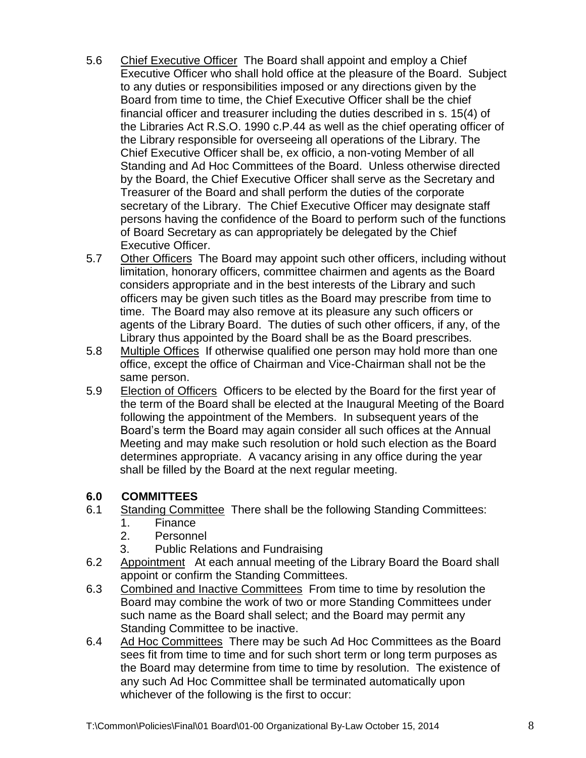- 5.6 Chief Executive Officer The Board shall appoint and employ a Chief Executive Officer who shall hold office at the pleasure of the Board. Subject to any duties or responsibilities imposed or any directions given by the Board from time to time, the Chief Executive Officer shall be the chief financial officer and treasurer including the duties described in s. 15(4) of the Libraries Act R.S.O. 1990 c.P.44 as well as the chief operating officer of the Library responsible for overseeing all operations of the Library. The Chief Executive Officer shall be, ex officio, a non-voting Member of all Standing and Ad Hoc Committees of the Board. Unless otherwise directed by the Board, the Chief Executive Officer shall serve as the Secretary and Treasurer of the Board and shall perform the duties of the corporate secretary of the Library. The Chief Executive Officer may designate staff persons having the confidence of the Board to perform such of the functions of Board Secretary as can appropriately be delegated by the Chief Executive Officer.
- 5.7 Other Officers The Board may appoint such other officers, including without limitation, honorary officers, committee chairmen and agents as the Board considers appropriate and in the best interests of the Library and such officers may be given such titles as the Board may prescribe from time to time. The Board may also remove at its pleasure any such officers or agents of the Library Board. The duties of such other officers, if any, of the Library thus appointed by the Board shall be as the Board prescribes*.*
- 5.8 Multiple Offices If otherwise qualified one person may hold more than one office, except the office of Chairman and Vice-Chairman shall not be the same person.
- 5.9 Election of Officers Officers to be elected by the Board for the first year of the term of the Board shall be elected at the Inaugural Meeting of the Board following the appointment of the Members. In subsequent years of the Board's term the Board may again consider all such offices at the Annual Meeting and may make such resolution or hold such election as the Board determines appropriate. A vacancy arising in any office during the year shall be filled by the Board at the next regular meeting.

#### **6.0 COMMITTEES**

- 6.1 Standing Committee There shall be the following Standing Committees:
	- 1. Finance
	- 2. Personnel
	- 3. Public Relations and Fundraising
- 6.2 Appointment At each annual meeting of the Library Board the Board shall appoint or confirm the Standing Committees.
- 6.3 Combined and Inactive Committees From time to time by resolution the Board may combine the work of two or more Standing Committees under such name as the Board shall select; and the Board may permit any Standing Committee to be inactive.
- 6.4 Ad Hoc Committees There may be such Ad Hoc Committees as the Board sees fit from time to time and for such short term or long term purposes as the Board may determine from time to time by resolution. The existence of any such Ad Hoc Committee shall be terminated automatically upon whichever of the following is the first to occur: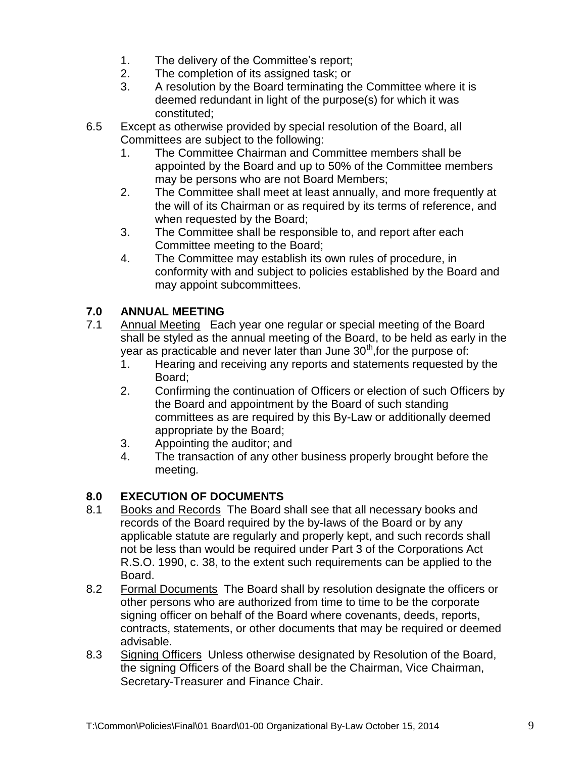- 1. The delivery of the Committee's report;
- 2. The completion of its assigned task; or
- 3. A resolution by the Board terminating the Committee where it is deemed redundant in light of the purpose(s) for which it was constituted;
- 6.5 Except as otherwise provided by special resolution of the Board, all Committees are subject to the following:
	- 1. The Committee Chairman and Committee members shall be appointed by the Board and up to 50% of the Committee members may be persons who are not Board Members;
	- 2. The Committee shall meet at least annually, and more frequently at the will of its Chairman or as required by its terms of reference, and when requested by the Board;
	- 3. The Committee shall be responsible to, and report after each Committee meeting to the Board;
	- 4. The Committee may establish its own rules of procedure, in conformity with and subject to policies established by the Board and may appoint subcommittees.

# **7.0 ANNUAL MEETING**

- 7.1 Annual Meeting Each year one regular or special meeting of the Board shall be styled as the annual meeting of the Board, to be held as early in the year as practicable and never later than June  $30<sup>th</sup>$ , for the purpose of:
	- 1. Hearing and receiving any reports and statements requested by the Board;
	- 2. Confirming the continuation of Officers or election of such Officers by the Board and appointment by the Board of such standing committees as are required by this By-Law or additionally deemed appropriate by the Board;
	- 3. Appointing the auditor; and
	- 4. The transaction of any other business properly brought before the meeting*.*

# **8.0 EXECUTION OF DOCUMENTS**

- 8.1 Books and Records The Board shall see that all necessary books and records of the Board required by the by-laws of the Board or by any applicable statute are regularly and properly kept, and such records shall not be less than would be required under Part 3 of the Corporations Act R.S.O. 1990, c. 38, to the extent such requirements can be applied to the Board.
- 8.2 Formal Documents The Board shall by resolution designate the officers or other persons who are authorized from time to time to be the corporate signing officer on behalf of the Board where covenants, deeds, reports, contracts, statements, or other documents that may be required or deemed advisable.
- 8.3 Signing Officers Unless otherwise designated by Resolution of the Board, the signing Officers of the Board shall be the Chairman, Vice Chairman, Secretary-Treasurer and Finance Chair.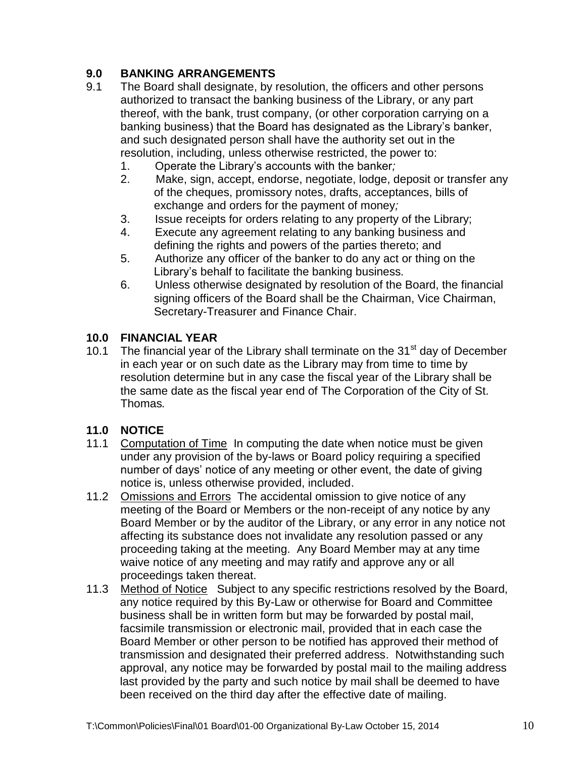# **9.0 BANKING ARRANGEMENTS**

- 9.1 The Board shall designate, by resolution, the officers and other persons authorized to transact the banking business of the Library, or any part thereof, with the bank, trust company, (or other corporation carrying on a banking business) that the Board has designated as the Library's banker, and such designated person shall have the authority set out in the resolution, including, unless otherwise restricted, the power to:
	- 1. Operate the Library's accounts with the banker*;*
	- 2. Make, sign, accept, endorse, negotiate, lodge, deposit or transfer any of the cheques, promissory notes, drafts, acceptances, bills of exchange and orders for the payment of money*;*
	- 3. Issue receipts for orders relating to any property of the Library;
	- 4. Execute any agreement relating to any banking business and defining the rights and powers of the parties thereto; and
	- 5. Authorize any officer of the banker to do any act or thing on the Library's behalf to facilitate the banking business*.*
	- 6. Unless otherwise designated by resolution of the Board, the financial signing officers of the Board shall be the Chairman, Vice Chairman, Secretary-Treasurer and Finance Chair.

#### **10.0 FINANCIAL YEAR**

10.1 The financial year of the Library shall terminate on the  $31<sup>st</sup>$  day of December in each year or on such date as the Library may from time to time by resolution determine but in any case the fiscal year of the Library shall be the same date as the fiscal year end of The Corporation of the City of St. Thomas*.*

#### **11.0 NOTICE**

- 11.1 Computation of Time In computing the date when notice must be given under any provision of the by-laws or Board policy requiring a specified number of days' notice of any meeting or other event, the date of giving notice is, unless otherwise provided, included.
- 11.2 Omissions and Errors The accidental omission to give notice of any meeting of the Board or Members or the non-receipt of any notice by any Board Member or by the auditor of the Library, or any error in any notice not affecting its substance does not invalidate any resolution passed or any proceeding taking at the meeting. Any Board Member may at any time waive notice of any meeting and may ratify and approve any or all proceedings taken thereat.
- 11.3 Method of Notice Subject to any specific restrictions resolved by the Board, any notice required by this By-Law or otherwise for Board and Committee business shall be in written form but may be forwarded by postal mail, facsimile transmission or electronic mail, provided that in each case the Board Member or other person to be notified has approved their method of transmission and designated their preferred address. Notwithstanding such approval, any notice may be forwarded by postal mail to the mailing address last provided by the party and such notice by mail shall be deemed to have been received on the third day after the effective date of mailing.